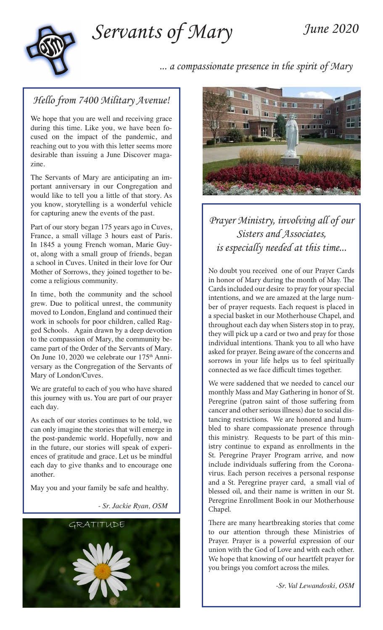*Servants of Mary*

# *June 2020*



 *... a compassionate presence in the spirit of Mary*

#### *Hello from 7400 Military Avenue!*

We hope that you are well and receiving grace during this time. Like you, we have been focused on the impact of the pandemic, and reaching out to you with this letter seems more desirable than issuing a June Discover magazine.

The Servants of Mary are anticipating an important anniversary in our Congregation and would like to tell you a little of that story. As you know, storytelling is a wonderful vehicle for capturing anew the events of the past.

Part of our story began 175 years ago in Cuves, France, a small village 3 hours east of Paris. In 1845 a young French woman, Marie Guyot, along with a small group of friends, began a school in Cuves. United in their love for Our Mother of Sorrows, they joined together to become a religious community.

In time, both the community and the school grew. Due to political unrest, the community moved to London, England and continued their work in schools for poor children, called Ragged Schools. Again drawn by a deep devotion to the compassion of Mary, the community became part of the Order of the Servants of Mary. On June 10, 2020 we celebrate our 175<sup>th</sup> Anniversary as the Congregation of the Servants of Mary of London/Cuves.

We are grateful to each of you who have shared this journey with us. You are part of our prayer each day.

As each of our stories continues to be told, we can only imagine the stories that will emerge in the post-pandemic world. Hopefully, now and in the future, our stories will speak of experiences of gratitude and grace. Let us be mindful each day to give thanks and to encourage one another.

May you and your family be safe and healthy.

*- Sr. Jackie Ryan, OSM*





## *Prayer Ministry, involving all of our Sisters and Associates, is especially needed at this time...*

No doubt you received one of our Prayer Cards in honor of Mary during the month of May. The Cards included our desire to pray for your special intentions, and we are amazed at the large number of prayer requests. Each request is placed in a special basket in our Motherhouse Chapel, and throughout each day when Sisters stop in to pray, they will pick up a card or two and pray for those individual intentions. Thank you to all who have asked for prayer. Being aware of the concerns and sorrows in your life helps us to feel spiritually connected as we face difficult times together.

We were saddened that we needed to cancel our monthly Mass and May Gathering in honor of St. Peregrine (patron saint of those suffering from cancer and other serious illness) due to social distancing restrictions. We are honored and humbled to share compassionate presence through this ministry. Requests to be part of this ministry continue to expand as enrollments in the St. Peregrine Prayer Program arrive, and now include individuals suffering from the Coronavirus. Each person receives a personal response and a St. Peregrine prayer card, a small vial of blessed oil, and their name is written in our St. Peregrine Enrollment Book in our Motherhouse Chapel.

There are many heartbreaking stories that come to our attention through these Ministries of Prayer. Prayer is a powerful expression of our union with the God of Love and with each other. We hope that knowing of our heartfelt prayer for you brings you comfort across the miles.

*-Sr. Val Lewandoski, OSM*